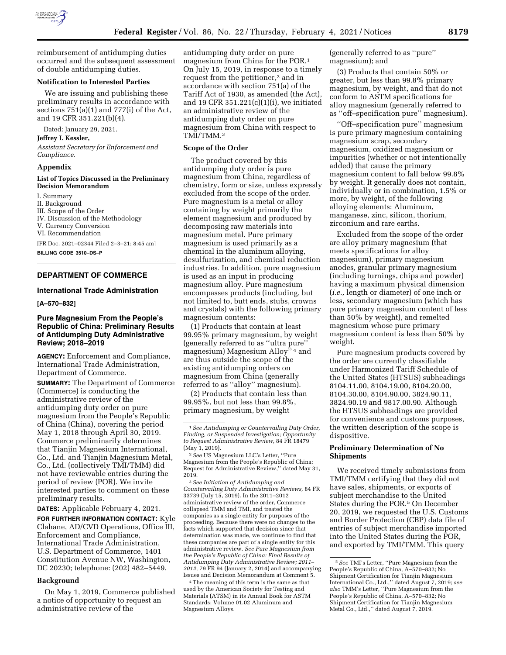

reimbursement of antidumping duties occurred and the subsequent assessment of double antidumping duties.

#### **Notification to Interested Parties**

We are issuing and publishing these preliminary results in accordance with sections 751(a)(1) and 777(i) of the Act, and 19 CFR 351.221(b)(4).

Dated: January 29, 2021.

### **Jeffrey I. Kessler,**

*Assistant Secretary for Enforcement and Compliance.* 

#### **Appendix**

### **List of Topics Discussed in the Preliminary Decision Memorandum**

I. Summary

- II. Background
- III. Scope of the Order

IV. Discussion of the Methodology

V. Currency Conversion

VI. Recommendation

[FR Doc. 2021–02344 Filed 2–3–21; 8:45 am]

**BILLING CODE 3510–DS–P** 

## **DEPARTMENT OF COMMERCE**

### **International Trade Administration**

**[A–570–832]** 

## **Pure Magnesium From the People's Republic of China: Preliminary Results of Antidumping Duty Administrative Review; 2018–2019**

**AGENCY:** Enforcement and Compliance, International Trade Administration, Department of Commerce.

**SUMMARY:** The Department of Commerce (Commerce) is conducting the administrative review of the antidumping duty order on pure magnesium from the People's Republic of China (China), covering the period May 1, 2018 through April 30, 2019. Commerce preliminarily determines that Tianjin Magnesium International, Co., Ltd. and Tianjin Magnesium Metal, Co., Ltd. (collectively TMI/TMM) did not have reviewable entries during the period of review (POR). We invite interested parties to comment on these preliminary results.

**DATES:** Applicable February 4, 2021.

**FOR FURTHER INFORMATION CONTACT:** Kyle Clahane, AD/CVD Operations, Office III, Enforcement and Compliance, International Trade Administration, U.S. Department of Commerce, 1401 Constitution Avenue NW, Washington, DC 20230; telephone: (202) 482–5449.

## **Background**

On May 1, 2019, Commerce published a notice of opportunity to request an administrative review of the

antidumping duty order on pure magnesium from China for the POR.1 On July 15, 2019, in response to a timely request from the petitioner,<sup>2</sup> and in accordance with section 751(a) of the Tariff Act of 1930, as amended (the Act), and 19 CFR 351.221(c)(1)(i), we initiated an administrative review of the antidumping duty order on pure magnesium from China with respect to TMI/TMM.3

## **Scope of the Order**

The product covered by this antidumping duty order is pure magnesium from China, regardless of chemistry, form or size, unless expressly excluded from the scope of the order. Pure magnesium is a metal or alloy containing by weight primarily the element magnesium and produced by decomposing raw materials into magnesium metal. Pure primary magnesium is used primarily as a chemical in the aluminum alloying, desulfurization, and chemical reduction industries. In addition, pure magnesium is used as an input in producing magnesium alloy. Pure magnesium encompasses products (including, but not limited to, butt ends, stubs, crowns and crystals) with the following primary magnesium contents:

(1) Products that contain at least 99.95% primary magnesium, by weight (generally referred to as ''ultra pure'' magnesium) Magnesium Alloy'' 4 and are thus outside the scope of the existing antidumping orders on magnesium from China (generally referred to as ''alloy'' magnesium).

(2) Products that contain less than 99.95%, but not less than 99.8%, primary magnesium, by weight

2*See* US Magnesium LLC's Letter, ''Pure Magnesium from the People's Republic of China: Request for Administrative Review,'' dated May 31, 2019.

3*See Initiation of Antidumping and Countervailing Duty Administrative Reviews,* 84 FR 33739 (July 15, 2019). In the 2011–2012 administrative review of the order, Commerce collapsed TMM and TMI, and treated the companies as a single entity for purposes of the proceeding. Because there were no changes to the facts which supported that decision since that determination was made, we continue to find that these companies are part of a single entity for this administrative review. *See Pure Magnesium from the People's Republic of China: Final Results of Antidumping Duty Administrative Review; 2011– 2012,* 79 FR 94 (January 2, 2014) and accompanying Issues and Decision Memorandum at Comment 5.

4The meaning of this term is the same as that used by the American Society for Testing and Materials (ATSM) in its Annual Book for ASTM Standards: Volume 01.02 Aluminum and Magnesium Alloys.

(generally referred to as ''pure'' magnesium); and

(3) Products that contain 50% or greater, but less than 99.8% primary magnesium, by weight, and that do not conform to ASTM specifications for alloy magnesium (generally referred to as ''off–specification pure'' magnesium).

''Off–specification pure'' magnesium is pure primary magnesium containing magnesium scrap, secondary magnesium, oxidized magnesium or impurities (whether or not intentionally added) that cause the primary magnesium content to fall below 99.8% by weight. It generally does not contain, individually or in combination, 1.5% or more, by weight, of the following alloying elements: Aluminum, manganese, zinc, silicon, thorium, zirconium and rare earths.

Excluded from the scope of the order are alloy primary magnesium (that meets specifications for alloy magnesium), primary magnesium anodes, granular primary magnesium (including turnings, chips and powder) having a maximum physical dimension (*i.e.,* length or diameter) of one inch or less, secondary magnesium (which has pure primary magnesium content of less than 50% by weight), and remelted magnesium whose pure primary magnesium content is less than 50% by weight.

Pure magnesium products covered by the order are currently classifiable under Harmonized Tariff Schedule of the United States (HTSUS) subheadings 8104.11.00, 8104.19.00, 8104.20.00, 8104.30.00, 8104.90.00, 3824.90.11, 3824.90.19 and 9817.00.90. Although the HTSUS subheadings are provided for convenience and customs purposes, the written description of the scope is dispositive.

# **Preliminary Determination of No Shipments**

We received timely submissions from TMI/TMM certifying that they did not have sales, shipments, or exports of subject merchandise to the United States during the POR.5 On December 20, 2019, we requested the U.S. Customs and Border Protection (CBP) data file of entries of subject merchandise imported into the United States during the POR, and exported by TMI/TMM. This query

<sup>1</sup>*See Antidumping or Countervailing Duty Order, Finding, or Suspended Investigation; Opportunity to Request Administrative Review,* 84 FR 18479 (May 1, 2019).

<sup>5</sup>*See* TMI's Letter, ''Pure Magnesium from the People's Republic of China, A–570–832; No Shipment Certification for Tianjin Magnesium International Co., Ltd.,'' dated August 7, 2019; *see also* TMM's Letter, ''Pure Magnesium from the People's Republic of China, A–570–832; No Shipment Certification for Tianjin Magnesium Metal Co., Ltd.," dated August 7, 2019.